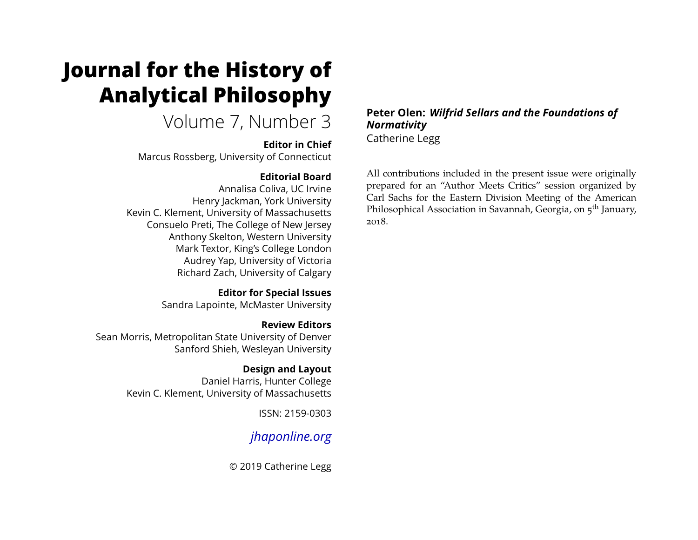# **Journal for the History of Analytical Philosophy**

# Volume 7, Number 3

### **Editor in Chief**

Marcus Rossberg, University of Connecticut

# **Editorial Board**

Annalisa Coliva, UC Irvine Henry Jackman, York University Kevin C. Klement, University of Massachusetts Consuelo Preti, The College of New Jersey Anthony Skelton, Western University Mark Textor, King's College London Audrey Yap, University of Victoria Richard Zach, University of Calgary

> **Editor for Special Issues** Sandra Lapointe, McMaster University

**Review Editors** Sean Morris, Metropolitan State University of Denver Sanford Shieh, Wesleyan University

> **Design and Layout** Daniel Harris, Hunter College Kevin C. Klement, University of Massachusetts

> > ISSN: 2159-0303

# *[jhaponline.org](https://jhaponline.org)*

© 2019 Catherine Legg

**Peter Olen:** *Wilfrid Sellars and the Foundations of Normativity* Catherine Legg

All contributions included in the present issue were originally prepared for an "Author Meets Critics" session organized by Carl Sachs for the Eastern Division Meeting of the American Philosophical Association in Savannah, Georgia, on 5<sup>th</sup> January, 2018.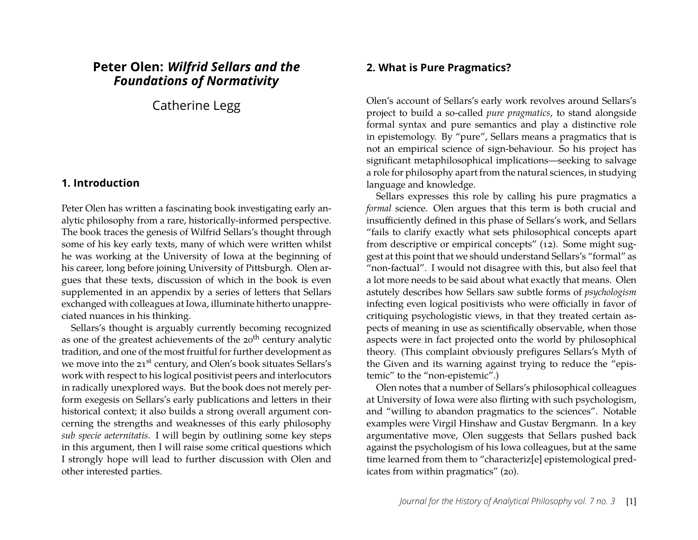## **Peter Olen:** *Wilfrid Sellars and the Foundations of Normativity*

Catherine Legg

#### **1. Introduction**

Peter Olen has written a fascinating book investigating early analytic philosophy from a rare, historically-informed perspective. The book traces the genesis of Wilfrid Sellars's thought through some of his key early texts, many of which were written whilst he was working at the University of Iowa at the beginning of his career, long before joining University of Pittsburgh. Olen argues that these texts, discussion of which in the book is even supplemented in an appendix by a series of letters that Sellars exchanged with colleagues at Iowa, illuminate hitherto unappreciated nuances in his thinking.

Sellars's thought is arguably currently becoming recognized as one of the greatest achievements of the  $20<sup>th</sup>$  century analytic tradition, and one of the most fruitful for further development as we move into the 21<sup>st</sup> century, and Olen's book situates Sellars's work with respect to his logical positivist peers and interlocutors in radically unexplored ways. But the book does not merely perform exegesis on Sellars's early publications and letters in their historical context; it also builds a strong overall argument concerning the strengths and weaknesses of this early philosophy *sub specie aeternitatis*. I will begin by outlining some key steps in this argument, then I will raise some critical questions which I strongly hope will lead to further discussion with Olen and other interested parties.

#### **2. What is Pure Pragmatics?**

Olen's account of Sellars's early work revolves around Sellars's project to build a so-called *pure pragmatics*, to stand alongside formal syntax and pure semantics and play a distinctive role in epistemology. By "pure", Sellars means a pragmatics that is not an empirical science of sign-behaviour. So his project has significant metaphilosophical implications—seeking to salvage a role for philosophy apart from the natural sciences, in studying language and knowledge.

Sellars expresses this role by calling his pure pragmatics a *formal* science. Olen argues that this term is both crucial and insufficiently defined in this phase of Sellars's work, and Sellars "fails to clarify exactly what sets philosophical concepts apart from descriptive or empirical concepts" (12). Some might suggest at this point that we should understand Sellars's "formal" as "non-factual". I would not disagree with this, but also feel that a lot more needs to be said about what exactly that means. Olen astutely describes how Sellars saw subtle forms of *psychologism* infecting even logical positivists who were officially in favor of critiquing psychologistic views, in that they treated certain aspects of meaning in use as scientifically observable, when those aspects were in fact projected onto the world by philosophical theory. (This complaint obviously prefigures Sellars's Myth of the Given and its warning against trying to reduce the "epistemic" to the "non-epistemic".)

Olen notes that a number of Sellars's philosophical colleagues at University of Iowa were also flirting with such psychologism, and "willing to abandon pragmatics to the sciences". Notable examples were Virgil Hinshaw and Gustav Bergmann. In a key argumentative move, Olen suggests that Sellars pushed back against the psychologism of his Iowa colleagues, but at the same time learned from them to "characteriz[e] epistemological predicates from within pragmatics" (20).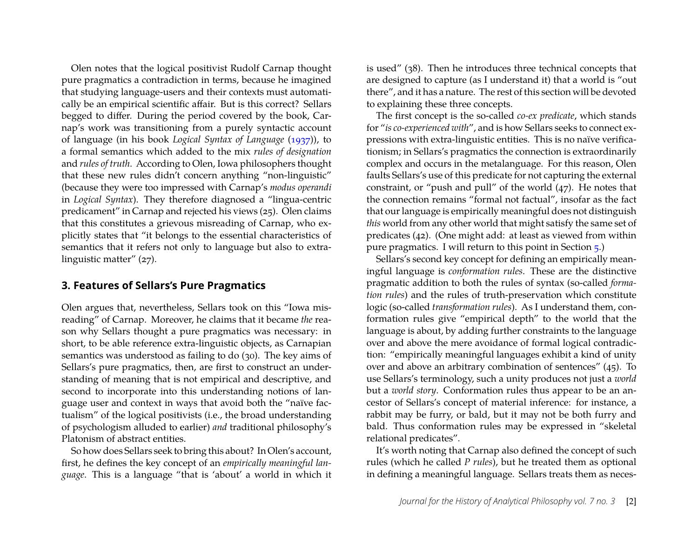Olen notes that the logical positivist Rudolf Carnap thought pure pragmatics a contradiction in terms, because he imagined that studying language-users and their contexts must automatically be an empirical scientific affair. But is this correct? Sellars begged to differ. During the period covered by the book, Carnap's work was transitioning from a purely syntactic account of language (in his book *Logical Syntax of Language* [\(1937\)](#page-5-0)), to a formal semantics which added to the mix *rules of designation* and *rules of truth*. According to Olen, Iowa philosophers thought that these new rules didn't concern anything "non-linguistic" (because they were too impressed with Carnap's *modus operandi* in *Logical Syntax*). They therefore diagnosed a "lingua-centric predicament" in Carnap and rejected his views (25). Olen claims that this constitutes a grievous misreading of Carnap, who explicitly states that "it belongs to the essential characteristics of semantics that it refers not only to language but also to extralinguistic matter" (27).

#### **3. Features of Sellars's Pure Pragmatics**

Olen argues that, nevertheless, Sellars took on this "Iowa misreading" of Carnap. Moreover, he claims that it became *the* reason why Sellars thought a pure pragmatics was necessary: in short, to be able reference extra-linguistic objects, as Carnapian semantics was understood as failing to do (30). The key aims of Sellars's pure pragmatics, then, are first to construct an understanding of meaning that is not empirical and descriptive, and second to incorporate into this understanding notions of language user and context in ways that avoid both the "naïve factualism" of the logical positivists (i.e., the broad understanding of psychologism alluded to earlier) *and* traditional philosophy's Platonism of abstract entities.

So how does Sellars seek to bring this about? In Olen's account, first, he defines the key concept of an *empirically meaningful language*. This is a language "that is 'about' a world in which it is used" (38). Then he introduces three technical concepts that are designed to capture (as I understand it) that a world is "out there", and it has a nature. The rest of this section will be devoted to explaining these three concepts.

The first concept is the so-called *co-ex predicate*, which stands for "*is co-experienced with*", and is how Sellars seeks to connect expressions with extra-linguistic entities. This is no naïve verificationism; in Sellars's pragmatics the connection is extraordinarily complex and occurs in the metalanguage. For this reason, Olen faults Sellars's use of this predicate for not capturing the external constraint, or "push and pull" of the world (47). He notes that the connection remains "formal not factual", insofar as the fact that our language is empirically meaningful does not distinguish *this* world from any other world that might satisfy the same set of predicates (42). (One might add: at least as viewed from within pure pragmatics. I will return to this point in Section [5.](#page-4-0))

Sellars's second key concept for defining an empirically meaningful language is *conformation rules*. These are the distinctive pragmatic addition to both the rules of syntax (so-called *formation rules*) and the rules of truth-preservation which constitute logic (so-called *transformation rules*). As I understand them, conformation rules give "empirical depth" to the world that the language is about, by adding further constraints to the language over and above the mere avoidance of formal logical contradiction: "empirically meaningful languages exhibit a kind of unity over and above an arbitrary combination of sentences" (45). To use Sellars's terminology, such a unity produces not just a *world* but a *world story*. Conformation rules thus appear to be an ancestor of Sellars's concept of material inference: for instance, a rabbit may be furry, or bald, but it may not be both furry and bald. Thus conformation rules may be expressed in "skeletal relational predicates".

It's worth noting that Carnap also defined the concept of such rules (which he called *P rules*), but he treated them as optional in defining a meaningful language. Sellars treats them as neces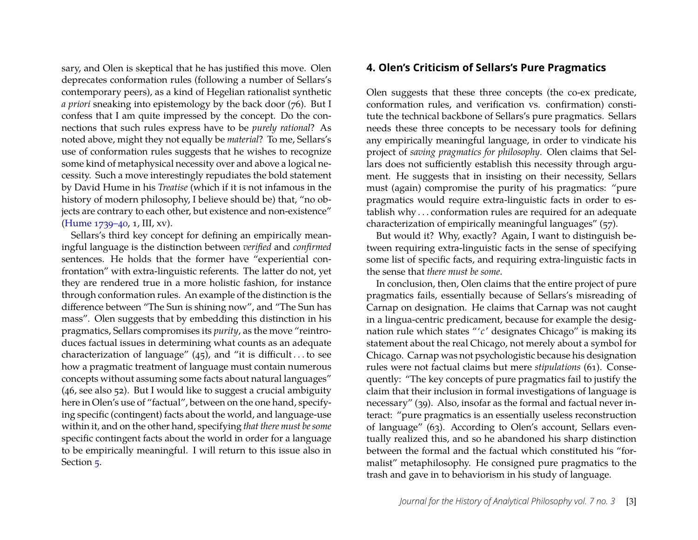sary, and Olen is skeptical that he has justified this move. Olen deprecates conformation rules (following a number of Sellars's contemporary peers), as a kind of Hegelian rationalist synthetic *a priori* sneaking into epistemology by the back door (76). But I confess that I am quite impressed by the concept. Do the connections that such rules express have to be *purely rational*? As noted above, might they not equally be *material*? To me, Sellars's use of conformation rules suggests that he wishes to recognize some kind of metaphysical necessity over and above a logical necessity. Such a move interestingly repudiates the bold statement by David Hume in his *Treatise* (which if it is not infamous in the history of modern philosophy, I believe should be) that, "no objects are contrary to each other, but existence and non-existence" [\(Hume 1739–40,](#page-5-1) 1, III, xv).

Sellars's third key concept for defining an empirically meaningful language is the distinction between *verified* and *confirmed* sentences. He holds that the former have "experiential confrontation" with extra-linguistic referents. The latter do not, yet they are rendered true in a more holistic fashion, for instance through conformation rules. An example of the distinction is the difference between "The Sun is shining now", and "The Sun has mass". Olen suggests that by embedding this distinction in his pragmatics, Sellars compromises its *purity*, as the move "reintroduces factual issues in determining what counts as an adequate characterization of language"  $(45)$ , and "it is difficult... to see how a pragmatic treatment of language must contain numerous concepts without assuming some facts about natural languages" (46, see also 52). But I would like to suggest a crucial ambiguity here in Olen's use of "factual", between on the one hand, specifying specific (contingent) facts about the world, and language-use within it, and on the other hand, specifying *that there must be some* specific contingent facts about the world in order for a language to be empirically meaningful. I will return to this issue also in Section [5.](#page-4-0)

#### **4. Olen's Criticism of Sellars's Pure Pragmatics**

Olen suggests that these three concepts (the co-ex predicate, conformation rules, and verification vs. confirmation) constitute the technical backbone of Sellars's pure pragmatics. Sellars needs these three concepts to be necessary tools for defining any empirically meaningful language, in order to vindicate his project of *saving pragmatics for philosophy*. Olen claims that Sellars does not sufficiently establish this necessity through argument. He suggests that in insisting on their necessity, Sellars must (again) compromise the purity of his pragmatics: "pure pragmatics would require extra-linguistic facts in order to establish why . . . conformation rules are required for an adequate characterization of empirically meaningful languages" (57).

But would it? Why, exactly? Again, I want to distinguish between requiring extra-linguistic facts in the sense of specifying some list of specific facts, and requiring extra-linguistic facts in the sense that *there must be some*.

In conclusion, then, Olen claims that the entire project of pure pragmatics fails, essentially because of Sellars's misreading of Carnap on designation. He claims that Carnap was not caught in a lingua-centric predicament, because for example the designation rule which states "'*c* ' designates Chicago" is making its statement about the real Chicago, not merely about a symbol for Chicago. Carnap was not psychologistic because his designation rules were not factual claims but mere *stipulations* (61). Consequently: "The key concepts of pure pragmatics fail to justify the claim that their inclusion in formal investigations of language is necessary" (39). Also, insofar as the formal and factual never interact: "pure pragmatics is an essentially useless reconstruction of language" (63). According to Olen's account, Sellars eventually realized this, and so he abandoned his sharp distinction between the formal and the factual which constituted his "formalist" metaphilosophy. He consigned pure pragmatics to the trash and gave in to behaviorism in his study of language.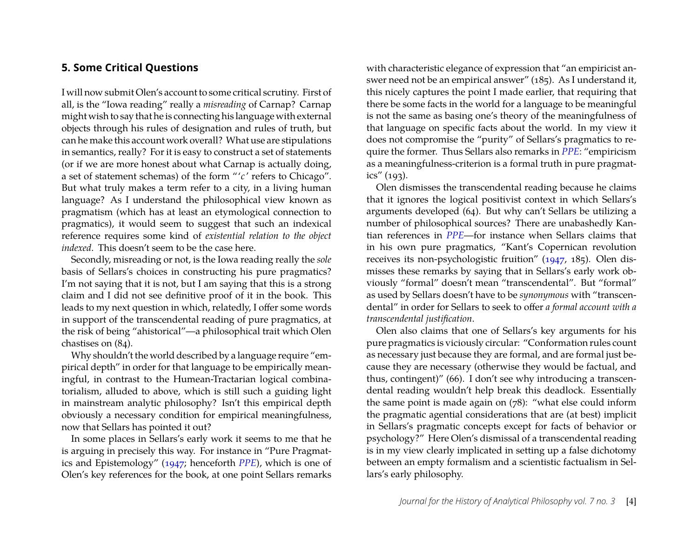#### <span id="page-4-0"></span>**5. Some Critical Questions**

I will now submit Olen's account to some critical scrutiny. First of all, is the "Iowa reading" really a *misreading* of Carnap? Carnap might wish to say that he is connecting his language with external objects through his rules of designation and rules of truth, but can he make this account work overall? What use are stipulations in semantics, really? For it is easy to construct a set of statements (or if we are more honest about what Carnap is actually doing, a set of statement schemas) of the form "'c' refers to Chicago". But what truly makes a term refer to a city, in a living human language? As I understand the philosophical view known as pragmatism (which has at least an etymological connection to pragmatics), it would seem to suggest that such an indexical reference requires some kind of *existential relation to the object indexed*. This doesn't seem to be the case here.

Secondly, misreading or not, is the Iowa reading really the *sole* basis of Sellars's choices in constructing his pure pragmatics? I'm not saying that it is not, but I am saying that this is a strong claim and I did not see definitive proof of it in the book. This leads to my next question in which, relatedly, I offer some words in support of the transcendental reading of pure pragmatics, at the risk of being "ahistorical"—a philosophical trait which Olen chastises on (84).

Why shouldn't the world described by a language require "empirical depth" in order for that language to be empirically meaningful, in contrast to the Humean-Tractarian logical combinatorialism, alluded to above, which is still such a guiding light in mainstream analytic philosophy? Isn't this empirical depth obviously a necessary condition for empirical meaningfulness, now that Sellars has pointed it out?

In some places in Sellars's early work it seems to me that he is arguing in precisely this way. For instance in "Pure Pragmatics and Epistemology" [\(1947;](#page-5-2) henceforth *[PPE](#page-5-2)*), which is one of Olen's key references for the book, at one point Sellars remarks

with characteristic elegance of expression that "an empiricist answer need not be an empirical answer" (185). As I understand it, this nicely captures the point I made earlier, that requiring that there be some facts in the world for a language to be meaningful is not the same as basing one's theory of the meaningfulness of that language on specific facts about the world. In my view it does not compromise the "purity" of Sellars's pragmatics to require the former. Thus Sellars also remarks in *[PPE](#page-5-2)*: "empiricism as a meaningfulness-criterion is a formal truth in pure pragmatics" (193).

Olen dismisses the transcendental reading because he claims that it ignores the logical positivist context in which Sellars's arguments developed (64). But why can't Sellars be utilizing a number of philosophical sources? There are unabashedly Kantian references in *[PPE](#page-5-2)*—for instance when Sellars claims that in his own pure pragmatics, "Kant's Copernican revolution receives its non-psychologistic fruition" [\(1947,](#page-5-2) 185). Olen dismisses these remarks by saying that in Sellars's early work obviously "formal" doesn't mean "transcendental". But "formal" as used by Sellars doesn't have to be *synonymous* with "transcendental" in order for Sellars to seek to offer *a formal account with a transcendental justification*.

Olen also claims that one of Sellars's key arguments for his pure pragmatics is viciously circular: "Conformation rules count as necessary just because they are formal, and are formal just because they are necessary (otherwise they would be factual, and thus, contingent)" (66). I don't see why introducing a transcendental reading wouldn't help break this deadlock. Essentially the same point is made again on (78): "what else could inform the pragmatic agential considerations that are (at best) implicit in Sellars's pragmatic concepts except for facts of behavior or psychology?" Here Olen's dismissal of a transcendental reading is in my view clearly implicated in setting up a false dichotomy between an empty formalism and a scientistic factualism in Sellars's early philosophy.